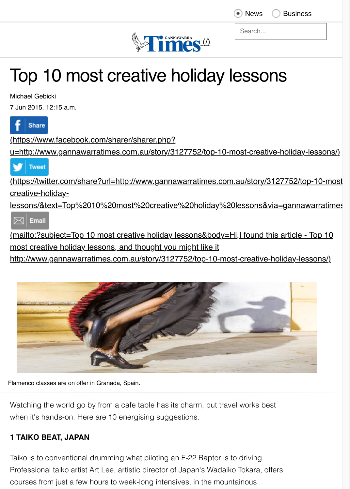

Search...

**News** Business

# Top 10 most creative holiday lessons

Michael Gebicki

7 Jun 2015, 12:15 a.m.





Flamenco classes are on offer in Granada, Spain.

Watching the world go by from a cafe table has its charm, but travel works best when it's hands-on. Here are 10 energising suggestions.

## **1 TAIKO BEAT, JAPAN**

Taiko is to conventional drumming what piloting an F-22 Raptor is to driving. Professional taiko artist Art Lee, artistic director of Japan's Wadaiko Tokara, offers courses from just a few hours to week-long intensives, in the mountainous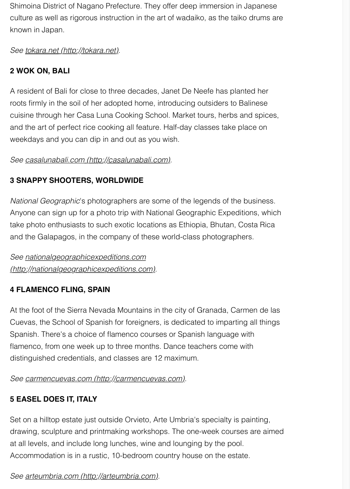Shimoina District of Nagano Prefecture. They offer deep immersion in Japanese culture as well as rigorous instruction in the art of wadaiko, as the taiko drums are known in Japan.

*See [tokara.net \(http://tokara.net\).](http://tokara.net/)*

## **2 WOK ON, BALI**

A resident of Bali for close to three decades, Janet De Neefe has planted her roots firmly in the soil of her adopted home, introducing outsiders to Balinese cuisine through her Casa Luna Cooking School. Market tours, herbs and spices, and the art of perfect rice cooking all feature. Half-day classes take place on weekdays and you can dip in and out as you wish.

## *See [casalunabali.com \(http://casalunabali.com\)](http://casalunabali.com/).*

## **3 SNAPPY SHOOTERS, WORLDWIDE**

*National Geographic*'s photographers are some of the legends of the business. Anyone can sign up for a photo trip with National Geographic Expeditions, which take photo enthusiasts to such exotic locations as Ethiopia, Bhutan, Costa Rica and the Galapagos, in the company of these world-class photographers.

*See nationalgeographicexpeditions.com [\(http://nationalgeographicexpeditions.com\)](http://nationalgeographicexpeditions.com/).*

## **4 FLAMENCO FLING, SPAIN**

At the foot of the Sierra Nevada Mountains in the city of Granada, Carmen de las Cuevas, the School of Spanish for foreigners, is dedicated to imparting all things Spanish. There's a choice of flamenco courses or Spanish language with flamenco, from one week up to three months. Dance teachers come with distinguished credentials, and classes are 12 maximum.

## *See [carmencuevas.com \(http://carmencuevas.com\)](http://carmencuevas.com/).*

# **5 EASEL DOES IT, ITALY**

Set on a hilltop estate just outside Orvieto, Arte Umbria's specialty is painting, drawing, sculpture and printmaking workshops. The one-week courses are aimed at all levels, and include long lunches, wine and lounging by the pool. Accommodation is in a rustic, 10-bedroom country house on the estate.

## *See [arteumbria.com \(http://arteumbria.com\).](http://arteumbria.com/)*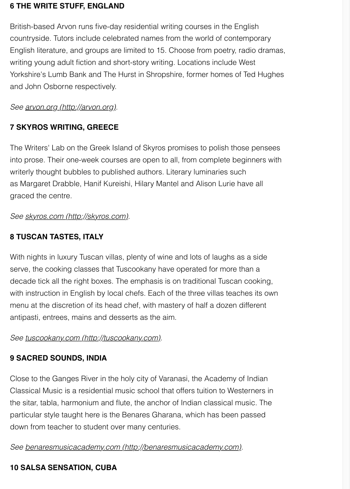#### **6 THE WRITE STUFF, ENGLAND**

British-based Arvon runs five-day residential writing courses in the English countryside. Tutors include celebrated names from the world of contemporary English literature, and groups are limited to 15. Choose from poetry, radio dramas, writing young adult fiction and short-story writing. Locations include West Yorkshire's Lumb Bank and The Hurst in Shropshire, former homes of Ted Hughes and John Osborne respectively.

*See [arvon.org \(http://arvon.org\).](http://arvon.org/)*

## **7 SKYROS WRITING, GREECE**

The Writers' Lab on the Greek Island of Skyros promises to polish those pensees into prose. Their one-week courses are open to all, from complete beginners with writerly thought bubbles to published authors. Literary luminaries such as Margaret Drabble, Hanif Kureishi, Hilary Mantel and Alison Lurie have all graced the centre.

*See [skyros.com \(http://skyros.com\)](http://skyros.com/).*

## **8 TUSCAN TASTES, ITALY**

With nights in luxury Tuscan villas, plenty of wine and lots of laughs as a side serve, the cooking classes that Tuscookany have operated for more than a decade tick all the right boxes. The emphasis is on traditional Tuscan cooking, with instruction in English by local chefs. Each of the three villas teaches its own menu at the discretion of its head chef, with mastery of half a dozen different antipasti, entrees, mains and desserts as the aim.

#### *See [tuscookany.com \(http://tuscookany.com\).](http://tuscookany.com/)*

## **9 SACRED SOUNDS, INDIA**

Close to the Ganges River in the holy city of Varanasi, the Academy of Indian Classical Music is a residential music school that offers tuition to Westerners in the sitar, tabla, harmonium and flute, the anchor of Indian classical music. The particular style taught here is the Benares Gharana, which has been passed down from teacher to student over many centuries.

*See [benaresmusicacademy.com \(http://benaresmusicacademy.com\)](http://benaresmusicacademy.com/).*

# **10 SALSA SENSATION, CUBA**